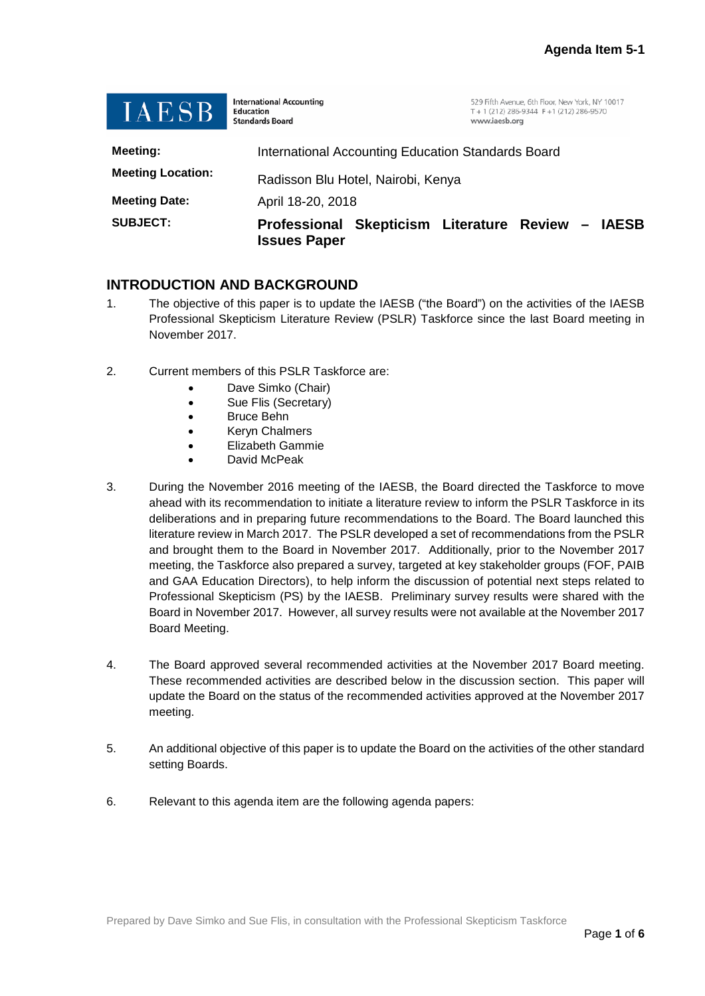| IAESB                    | <b>International Accounting</b><br>529 Fifth Avenue, 6th Floor, New York, NY 10017<br>T + 1 (212) 286-9344 F +1 (212) 286-9570<br>Education<br><b>Standards Board</b><br>www.iaesb.org |
|--------------------------|----------------------------------------------------------------------------------------------------------------------------------------------------------------------------------------|
| <b>Meeting:</b>          | International Accounting Education Standards Board                                                                                                                                     |
| <b>Meeting Location:</b> | Radisson Blu Hotel, Nairobi, Kenya                                                                                                                                                     |
| <b>Meeting Date:</b>     | April 18-20, 2018                                                                                                                                                                      |
| <b>SUBJECT:</b>          | Skepticism Literature Review -<br><b>Professional</b><br><b>IAESB</b><br><b>Issues Paper</b>                                                                                           |

## **INTRODUCTION AND BACKGROUND**

- 1. The objective of this paper is to update the IAESB ("the Board") on the activities of the IAESB Professional Skepticism Literature Review (PSLR) Taskforce since the last Board meeting in November 2017.
- 2. Current members of this PSLR Taskforce are:
	- Dave Simko (Chair)
	- Sue Flis (Secretary)
	- Bruce Behn
	- Keryn Chalmers
	- Elizabeth Gammie
	- David McPeak
- 3. During the November 2016 meeting of the IAESB, the Board directed the Taskforce to move ahead with its recommendation to initiate a literature review to inform the PSLR Taskforce in its deliberations and in preparing future recommendations to the Board. The Board launched this literature review in March 2017. The PSLR developed a set of recommendations from the PSLR and brought them to the Board in November 2017. Additionally, prior to the November 2017 meeting, the Taskforce also prepared a survey, targeted at key stakeholder groups (FOF, PAIB and GAA Education Directors), to help inform the discussion of potential next steps related to Professional Skepticism (PS) by the IAESB. Preliminary survey results were shared with the Board in November 2017. However, all survey results were not available at the November 2017 Board Meeting.
- 4. The Board approved several recommended activities at the November 2017 Board meeting. These recommended activities are described below in the discussion section. This paper will update the Board on the status of the recommended activities approved at the November 2017 meeting.
- 5. An additional objective of this paper is to update the Board on the activities of the other standard setting Boards.
- 6. Relevant to this agenda item are the following agenda papers: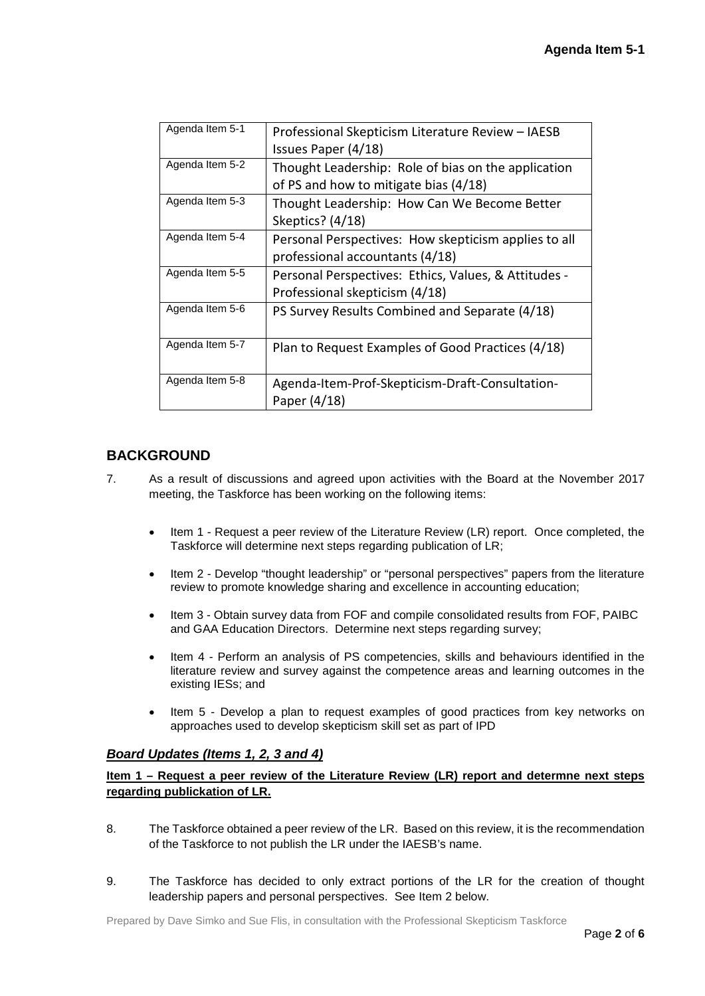| Agenda Item 5-1 | Professional Skepticism Literature Review - IAESB    |
|-----------------|------------------------------------------------------|
|                 | Issues Paper (4/18)                                  |
| Agenda Item 5-2 | Thought Leadership: Role of bias on the application  |
|                 | of PS and how to mitigate bias (4/18)                |
| Agenda Item 5-3 | Thought Leadership: How Can We Become Better         |
|                 | Skeptics? (4/18)                                     |
| Agenda Item 5-4 | Personal Perspectives: How skepticism applies to all |
|                 | professional accountants (4/18)                      |
| Agenda Item 5-5 | Personal Perspectives: Ethics, Values, & Attitudes - |
|                 | Professional skepticism (4/18)                       |
| Agenda Item 5-6 | PS Survey Results Combined and Separate (4/18)       |
|                 |                                                      |
| Agenda Item 5-7 | Plan to Request Examples of Good Practices (4/18)    |
|                 |                                                      |
| Agenda Item 5-8 | Agenda-Item-Prof-Skepticism-Draft-Consultation-      |
|                 | Paper (4/18)                                         |

# **BACKGROUND**

- 7. As a result of discussions and agreed upon activities with the Board at the November 2017 meeting, the Taskforce has been working on the following items:
	- Item 1 Request a peer review of the Literature Review (LR) report. Once completed, the Taskforce will determine next steps regarding publication of LR;
	- Item 2 Develop "thought leadership" or "personal perspectives" papers from the literature review to promote knowledge sharing and excellence in accounting education;
	- Item 3 Obtain survey data from FOF and compile consolidated results from FOF, PAIBC and GAA Education Directors. Determine next steps regarding survey;
	- Item 4 Perform an analysis of PS competencies, skills and behaviours identified in the literature review and survey against the competence areas and learning outcomes in the existing IESs; and
	- Item 5 Develop a plan to request examples of good practices from key networks on approaches used to develop skepticism skill set as part of IPD

## *Board Updates (Items 1, 2, 3 and 4)*

**Item 1 – Request a peer review of the Literature Review (LR) report and determne next steps regarding publickation of LR.** 

- 8. The Taskforce obtained a peer review of the LR. Based on this review, it is the recommendation of the Taskforce to not publish the LR under the IAESB's name.
- 9. The Taskforce has decided to only extract portions of the LR for the creation of thought leadership papers and personal perspectives. See Item 2 below.

Prepared by Dave Simko and Sue Flis, in consultation with the Professional Skepticism Taskforce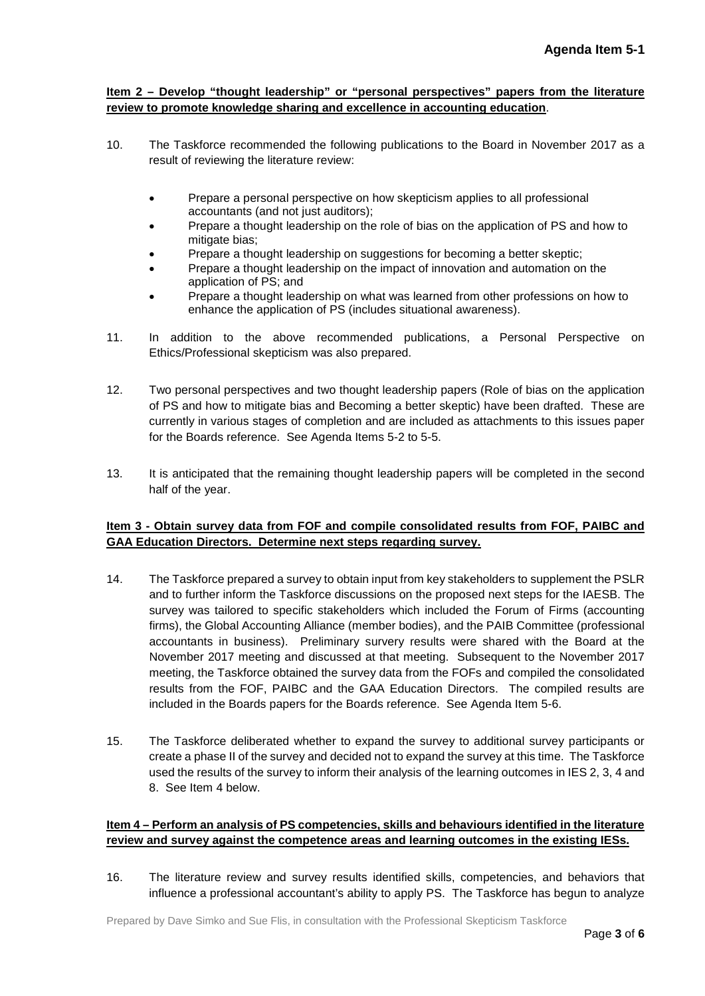#### **Item 2 – Develop "thought leadership" or "personal perspectives" papers from the literature review to promote knowledge sharing and excellence in accounting education**.

- 10. The Taskforce recommended the following publications to the Board in November 2017 as a result of reviewing the literature review:
	- Prepare a personal perspective on how skepticism applies to all professional accountants (and not just auditors);
	- Prepare a thought leadership on the role of bias on the application of PS and how to mitigate bias;
	- Prepare a thought leadership on suggestions for becoming a better skeptic;
	- Prepare a thought leadership on the impact of innovation and automation on the application of PS; and
	- Prepare a thought leadership on what was learned from other professions on how to enhance the application of PS (includes situational awareness).
- 11. In addition to the above recommended publications, a Personal Perspective on Ethics/Professional skepticism was also prepared.
- 12. Two personal perspectives and two thought leadership papers (Role of bias on the application of PS and how to mitigate bias and Becoming a better skeptic) have been drafted. These are currently in various stages of completion and are included as attachments to this issues paper for the Boards reference. See Agenda Items 5-2 to 5-5.
- 13. It is anticipated that the remaining thought leadership papers will be completed in the second half of the year.

### **Item 3 - Obtain survey data from FOF and compile consolidated results from FOF, PAIBC and GAA Education Directors. Determine next steps regarding survey.**

- 14. The Taskforce prepared a survey to obtain input from key stakeholders to supplement the PSLR and to further inform the Taskforce discussions on the proposed next steps for the IAESB. The survey was tailored to specific stakeholders which included the Forum of Firms (accounting firms), the Global Accounting Alliance (member bodies), and the PAIB Committee (professional accountants in business). Preliminary survery results were shared with the Board at the November 2017 meeting and discussed at that meeting. Subsequent to the November 2017 meeting, the Taskforce obtained the survey data from the FOFs and compiled the consolidated results from the FOF, PAIBC and the GAA Education Directors. The compiled results are included in the Boards papers for the Boards reference. See Agenda Item 5-6.
- 15. The Taskforce deliberated whether to expand the survey to additional survey participants or create a phase II of the survey and decided not to expand the survey at this time. The Taskforce used the results of the survey to inform their analysis of the learning outcomes in IES 2, 3, 4 and 8. See Item 4 below.

#### **Item 4 – Perform an analysis of PS competencies, skills and behaviours identified in the literature review and survey against the competence areas and learning outcomes in the existing IESs.**

16. The literature review and survey results identified skills, competencies, and behaviors that influence a professional accountant's ability to apply PS. The Taskforce has begun to analyze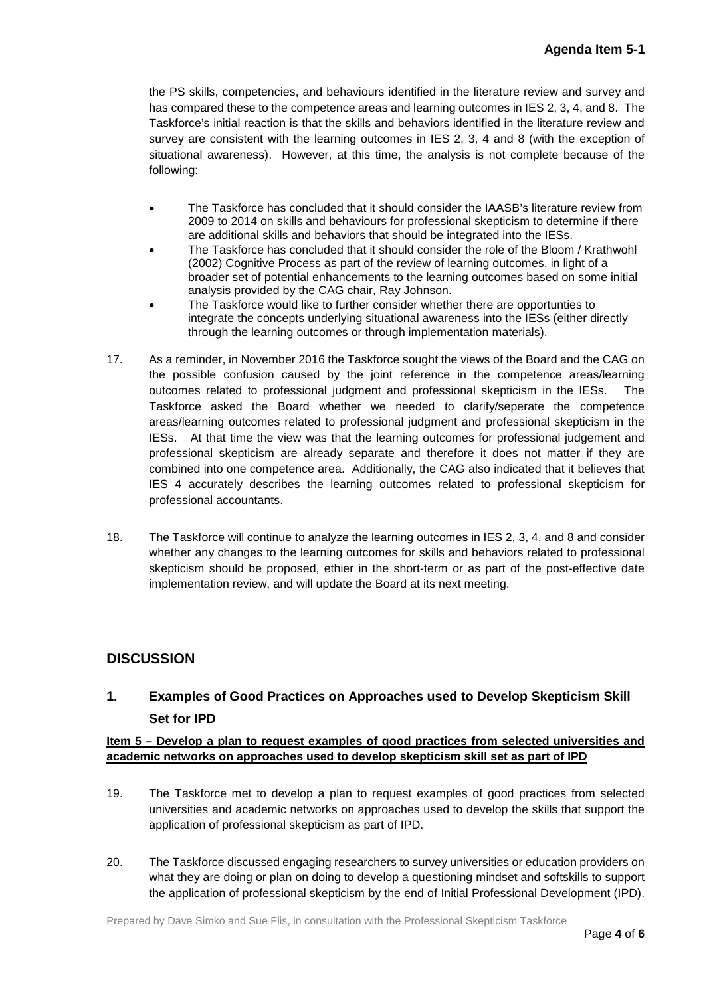the PS skills, competencies, and behaviours identified in the literature review and survey and has compared these to the competence areas and learning outcomes in IES 2, 3, 4, and 8. The Taskforce's initial reaction is that the skills and behaviors identified in the literature review and survey are consistent with the learning outcomes in IES 2, 3, 4 and 8 (with the exception of situational awareness). However, at this time, the analysis is not complete because of the following:

- The Taskforce has concluded that it should consider the IAASB's literature review from 2009 to 2014 on skills and behaviours for professional skepticism to determine if there are additional skills and behaviors that should be integrated into the IESs.
- The Taskforce has concluded that it should consider the role of the Bloom / Krathwohl (2002) Cognitive Process as part of the review of learning outcomes, in light of a broader set of potential enhancements to the learning outcomes based on some initial analysis provided by the CAG chair, Ray Johnson.
- The Taskforce would like to further consider whether there are opportunties to integrate the concepts underlying situational awareness into the IESs (either directly through the learning outcomes or through implementation materials).
- 17. As a reminder, in November 2016 the Taskforce sought the views of the Board and the CAG on the possible confusion caused by the joint reference in the competence areas/learning outcomes related to professional judgment and professional skepticism in the IESs. The Taskforce asked the Board whether we needed to clarify/seperate the competence areas/learning outcomes related to professional judgment and professional skepticism in the IESs. At that time the view was that the learning outcomes for professional judgement and professional skepticism are already separate and therefore it does not matter if they are combined into one competence area. Additionally, the CAG also indicated that it believes that IES 4 accurately describes the learning outcomes related to professional skepticism for professional accountants.
- 18. The Taskforce will continue to analyze the learning outcomes in IES 2, 3, 4, and 8 and consider whether any changes to the learning outcomes for skills and behaviors related to professional skepticism should be proposed, ethier in the short-term or as part of the post-effective date implementation review, and will update the Board at its next meeting.

# **DISCUSSION**

# **1. Examples of Good Practices on Approaches used to Develop Skepticism Skill Set for IPD**

## **Item 5 – Develop a plan to request examples of good practices from selected universities and academic networks on approaches used to develop skepticism skill set as part of IPD**

- 19. The Taskforce met to develop a plan to request examples of good practices from selected universities and academic networks on approaches used to develop the skills that support the application of professional skepticism as part of IPD.
- 20. The Taskforce discussed engaging researchers to survey universities or education providers on what they are doing or plan on doing to develop a questioning mindset and softskills to support the application of professional skepticism by the end of Initial Professional Development (IPD).

Prepared by Dave Simko and Sue Flis, in consultation with the Professional Skepticism Taskforce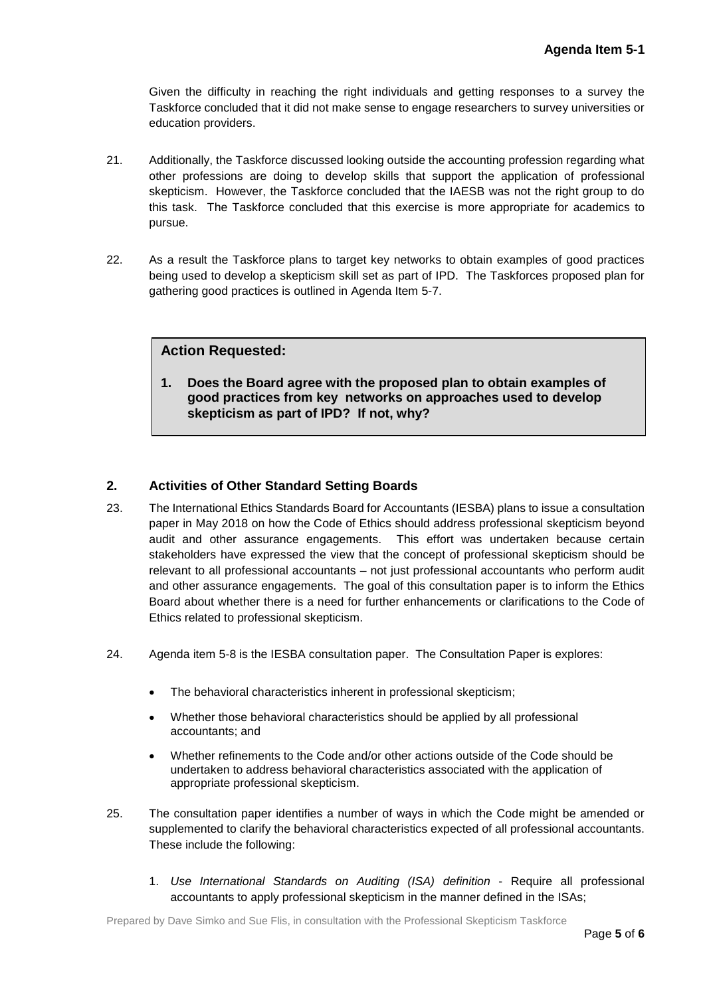Given the difficulty in reaching the right individuals and getting responses to a survey the Taskforce concluded that it did not make sense to engage researchers to survey universities or education providers.

- 21. Additionally, the Taskforce discussed looking outside the accounting profession regarding what other professions are doing to develop skills that support the application of professional skepticism. However, the Taskforce concluded that the IAESB was not the right group to do this task. The Taskforce concluded that this exercise is more appropriate for academics to pursue.
- 22. As a result the Taskforce plans to target key networks to obtain examples of good practices being used to develop a skepticism skill set as part of IPD. The Taskforces proposed plan for gathering good practices is outlined in Agenda Item 5-7.

## **Action Requested:**

**1. Does the Board agree with the proposed plan to obtain examples of good practices from key networks on approaches used to develop skepticism as part of IPD? If not, why?**

### **2. Activities of Other Standard Setting Boards**

- 23. The International Ethics Standards Board for Accountants (IESBA) plans to issue a consultation paper in May 2018 on how the Code of Ethics should address professional skepticism beyond audit and other assurance engagements. This effort was undertaken because certain stakeholders have expressed the view that the concept of professional skepticism should be relevant to all professional accountants – not just professional accountants who perform audit and other assurance engagements. The goal of this consultation paper is to inform the Ethics Board about whether there is a need for further enhancements or clarifications to the Code of Ethics related to professional skepticism.
- 24. Agenda item 5-8 is the IESBA consultation paper. The Consultation Paper is explores:
	- The behavioral characteristics inherent in professional skepticism;
	- Whether those behavioral characteristics should be applied by all professional accountants; and
	- Whether refinements to the Code and/or other actions outside of the Code should be undertaken to address behavioral characteristics associated with the application of appropriate professional skepticism.
- 25. The consultation paper identifies a number of ways in which the Code might be amended or supplemented to clarify the behavioral characteristics expected of all professional accountants. These include the following:
	- 1. *Use International Standards on Auditing (ISA) definition* Require all professional accountants to apply professional skepticism in the manner defined in the ISAs;

Prepared by Dave Simko and Sue Flis, in consultation with the Professional Skepticism Taskforce